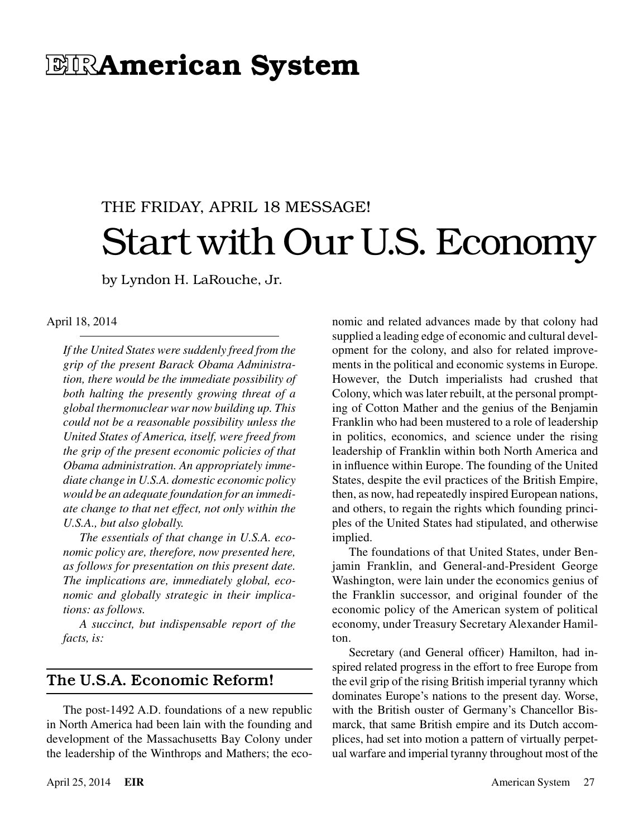# EIRAmerican System

# THE FRIDAY, APRIL 18 MESSAGE! Start with Our U.S. Economy

by Lyndon H. LaRouche, Jr.

#### April 18, 2014

*If the United States were suddenly freed from the grip of the present Barack Obama Administration, there would be the immediate possibility of both halting the presently growing threat of a global thermonuclear war now building up. This could not be a reasonable possibility unless the United States of America, itself, were freed from the grip of the present economic policies of that Obama administration. An appropriately immediate change in U.S.A. domestic economic policy would be an adequate foundation for an immediate change to that net effect, not only within the U.S.A., but also globally.*

*The essentials of that change in U.S.A. economic policy are, therefore, now presented here, as follows for presentation on this present date. The implications are, immediately global, economic and globally strategic in their implications: as follows.*

*A succinct, but indispensable report of the facts, is:*

## The U.S.A. Economic Reform!

The post-1492 A.D. foundations of a new republic in North America had been lain with the founding and development of the Massachusetts Bay Colony under the leadership of the Winthrops and Mathers; the economic and related advances made by that colony had supplied a leading edge of economic and cultural development for the colony, and also for related improvements in the political and economic systems in Europe. However, the Dutch imperialists had crushed that Colony, which was later rebuilt, at the personal prompting of Cotton Mather and the genius of the Benjamin Franklin who had been mustered to a role of leadership in politics, economics, and science under the rising leadership of Franklin within both North America and in influence within Europe. The founding of the United States, despite the evil practices of the British Empire, then, as now, had repeatedly inspired European nations, and others, to regain the rights which founding principles of the United States had stipulated, and otherwise implied.

The foundations of that United States, under Benjamin Franklin, and General-and-President George Washington, were lain under the economics genius of the Franklin successor, and original founder of the economic policy of the American system of political economy, under Treasury Secretary Alexander Hamilton.

Secretary (and General officer) Hamilton, had inspired related progress in the effort to free Europe from the evil grip of the rising British imperial tyranny which dominates Europe's nations to the present day. Worse, with the British ouster of Germany's Chancellor Bismarck, that same British empire and its Dutch accomplices, had set into motion a pattern of virtually perpetual warfare and imperial tyranny throughout most of the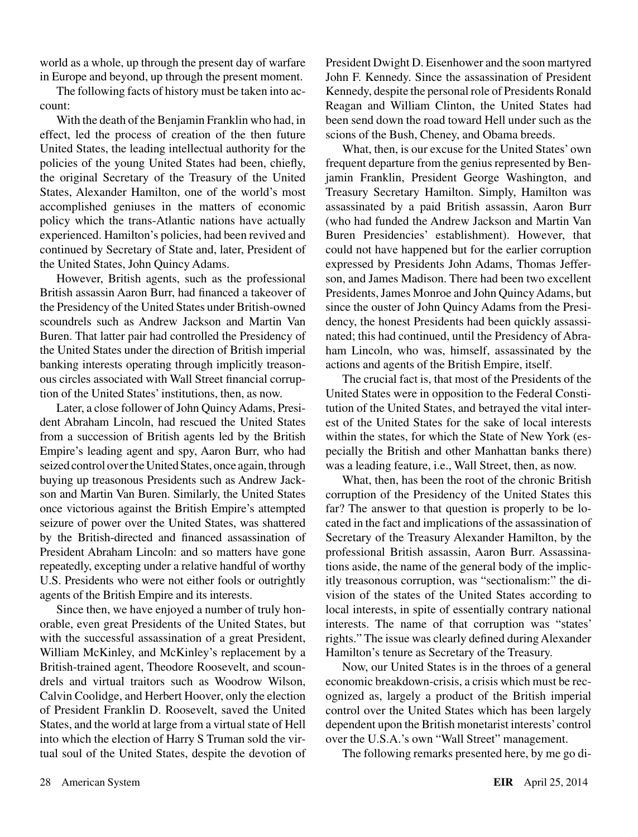world as a whole, up through the present day of warfare in Europe and beyond, up through the present moment.

The following facts of history must be taken into account:

With the death of the Benjamin Franklin who had, in effect, led the process of creation of the then future United States, the leading intellectual authority for the policies of the young United States had been, chiefly, the original Secretary of the Treasury of the United States, Alexander Hamilton, one of the world's most accomplished geniuses in the matters of economic policy which the trans-Atlantic nations have actually experienced. Hamilton's policies, had been revived and continued by Secretary of State and, later, President of the United States, John Quincy Adams.

However, British agents, such as the professional British assassin Aaron Burr, had financed a takeover of the Presidency of the United States under British-owned scoundrels such as Andrew Jackson and Martin Van Buren. That latter pair had controlled the Presidency of the United States under the direction of British imperial banking interests operating through implicitly treasonous circles associated with Wall Street financial corruption of the United States' institutions, then, as now.

Later, a close follower of John Quincy Adams, President Abraham Lincoln, had rescued the United States from a succession of British agents led by the British Empire's leading agent and spy, Aaron Burr, who had seized control over the United States, once again, through buying up treasonous Presidents such as Andrew Jackson and Martin Van Buren. Similarly, the United States once victorious against the British Empire's attempted seizure of power over the United States, was shattered by the British-directed and financed assassination of President Abraham Lincoln: and so matters have gone repeatedly, excepting under a relative handful of worthy U.S. Presidents who were not either fools or outrightly agents of the British Empire and its interests.

Since then, we have enjoyed a number of truly honorable, even great Presidents of the United States, but with the successful assassination of a great President, William McKinley, and McKinley's replacement by a British-trained agent, Theodore Roosevelt, and scoundrels and virtual traitors such as Woodrow Wilson, Calvin Coolidge, and Herbert Hoover, only the election of President Franklin D. Roosevelt, saved the United States, and the world at large from a virtual state of Hell into which the election of Harry S Truman sold the virtual soul of the United States, despite the devotion of President Dwight D. Eisenhower and the soon martyred John F. Kennedy. Since the assassination of President Kennedy, despite the personal role of Presidents Ronald Reagan and William Clinton, the United States had been send down the road toward Hell under such as the scions of the Bush, Cheney, and Obama breeds.

What, then, is our excuse for the United States' own frequent departure from the genius represented by Benjamin Franklin, President George Washington, and Treasury Secretary Hamilton. Simply, Hamilton was assassinated by a paid British assassin, Aaron Burr (who had funded the Andrew Jackson and Martin Van Buren Presidencies' establishment). However, that could not have happened but for the earlier corruption expressed by Presidents John Adams, Thomas Jefferson, and James Madison. There had been two excellent Presidents, James Monroe and John Quincy Adams, but since the ouster of John Quincy Adams from the Presidency, the honest Presidents had been quickly assassinated; this had continued, until the Presidency of Abraham Lincoln, who was, himself, assassinated by the actions and agents of the British Empire, itself.

The crucial fact is, that most of the Presidents of the United States were in opposition to the Federal Constitution of the United States, and betrayed the vital interest of the United States for the sake of local interests within the states, for which the State of New York (especially the British and other Manhattan banks there) was a leading feature, i.e., Wall Street, then, as now.

What, then, has been the root of the chronic British corruption of the Presidency of the United States this far? The answer to that question is properly to be located in the fact and implications of the assassination of Secretary of the Treasury Alexander Hamilton, by the professional British assassin, Aaron Burr. Assassinations aside, the name of the general body of the implicitly treasonous corruption, was "sectionalism:" the division of the states of the United States according to local interests, in spite of essentially contrary national interests. The name of that corruption was "states' rights." The issue was clearly defined during Alexander Hamilton's tenure as Secretary of the Treasury.

Now, our United States is in the throes of a general economic breakdown-crisis, a crisis which must be recognized as, largely a product of the British imperial control over the United States which has been largely dependent upon the British monetarist interests' control over the U.S.A.'s own "Wall Street" management.

The following remarks presented here, by me go di-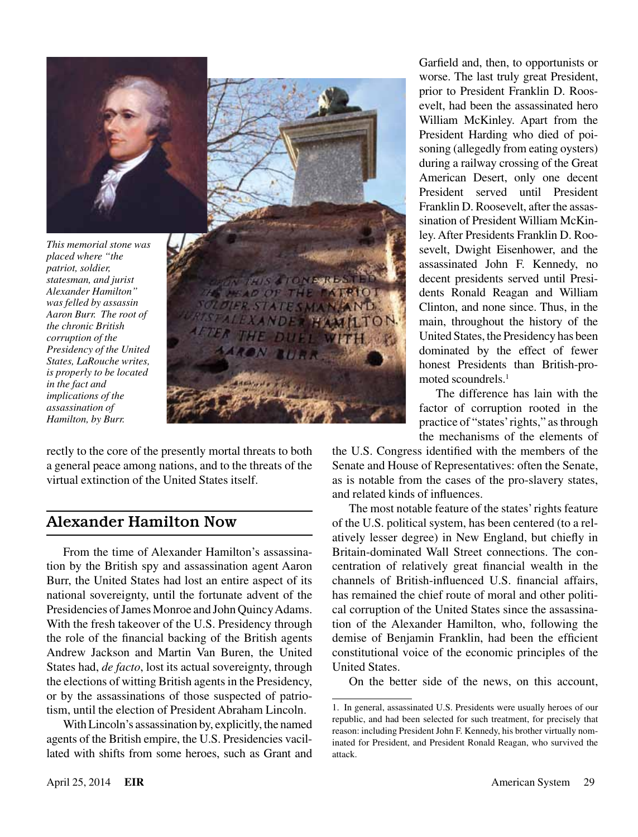

*This memorial stone was placed where "the patriot, soldier, statesman, and jurist Alexander Hamilton" was felled by assassin Aaron Burr. The root of the chronic British corruption of the Presidency of the United States, LaRouche writes, is properly to be located in the fact and implications of the assassination of Hamilton, by Burr.*



rectly to the core of the presently mortal threats to both a general peace among nations, and to the threats of the virtual extinction of the United States itself.

## Alexander Hamilton Now

From the time of Alexander Hamilton's assassination by the British spy and assassination agent Aaron Burr, the United States had lost an entire aspect of its national sovereignty, until the fortunate advent of the Presidencies of James Monroe and John Quincy Adams. With the fresh takeover of the U.S. Presidency through the role of the financial backing of the British agents Andrew Jackson and Martin Van Buren, the United States had, *de facto*, lost its actual sovereignty, through the elections of witting British agents in the Presidency, or by the assassinations of those suspected of patriotism, until the election of President Abraham Lincoln.

With Lincoln's assassination by, explicitly, the named agents of the British empire, the U.S. Presidencies vacillated with shifts from some heroes, such as Grant and Garfield and, then, to opportunists or worse. The last truly great President, prior to President Franklin D. Roosevelt, had been the assassinated hero William McKinley. Apart from the President Harding who died of poisoning (allegedly from eating oysters) during a railway crossing of the Great American Desert, only one decent President served until President Franklin D. Roosevelt, after the assassination of President William McKinley. After Presidents Franklin D. Roosevelt, Dwight Eisenhower, and the assassinated John F. Kennedy, no decent presidents served until Presidents Ronald Reagan and William Clinton, and none since. Thus, in the main, throughout the history of the United States, the Presidency has been dominated by the effect of fewer honest Presidents than British-promoted scoundrels.<sup>1</sup>

The difference has lain with the factor of corruption rooted in the practice of "states' rights," as through the mechanisms of the elements of

the U.S. Congress identified with the members of the Senate and House of Representatives: often the Senate, as is notable from the cases of the pro-slavery states, and related kinds of influences.

The most notable feature of the states' rights feature of the U.S. political system, has been centered (to a relatively lesser degree) in New England, but chiefly in Britain-dominated Wall Street connections. The concentration of relatively great financial wealth in the channels of British-influenced U.S. financial affairs, has remained the chief route of moral and other political corruption of the United States since the assassination of the Alexander Hamilton, who, following the demise of Benjamin Franklin, had been the efficient constitutional voice of the economic principles of the United States.

On the better side of the news, on this account,

<sup>1.</sup> In general, assassinated U.S. Presidents were usually heroes of our republic, and had been selected for such treatment, for precisely that reason: including President John F. Kennedy, his brother virtually nominated for President, and President Ronald Reagan, who survived the attack.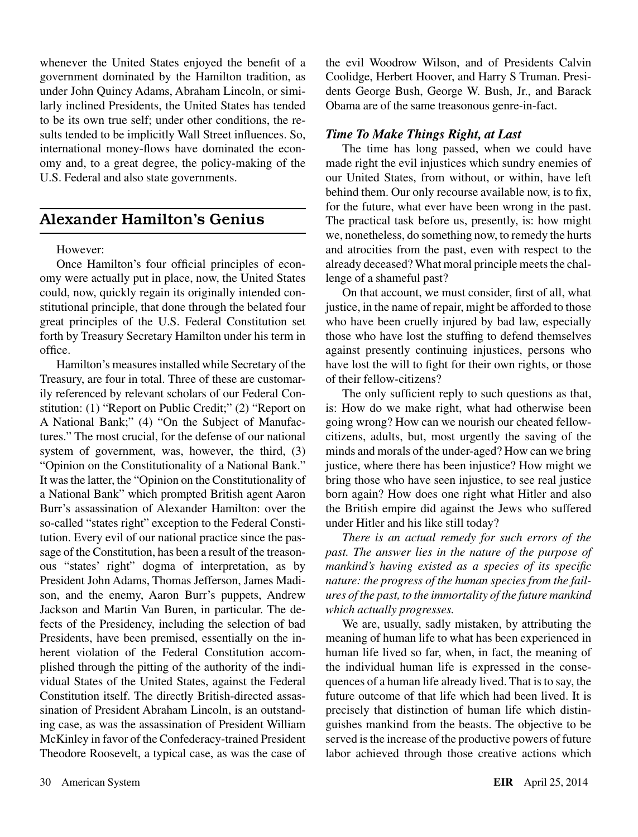whenever the United States enjoyed the benefit of a government dominated by the Hamilton tradition, as under John Quincy Adams, Abraham Lincoln, or similarly inclined Presidents, the United States has tended to be its own true self; under other conditions, the results tended to be implicitly Wall Street influences. So, international money-flows have dominated the economy and, to a great degree, the policy-making of the U.S. Federal and also state governments.

## Alexander Hamilton's Genius

#### However:

Once Hamilton's four official principles of economy were actually put in place, now, the United States could, now, quickly regain its originally intended constitutional principle, that done through the belated four great principles of the U.S. Federal Constitution set forth by Treasury Secretary Hamilton under his term in office.

Hamilton's measures installed while Secretary of the Treasury, are four in total. Three of these are customarily referenced by relevant scholars of our Federal Constitution: (1) "Report on Public Credit;" (2) "Report on A National Bank;" (4) "On the Subject of Manufactures." The most crucial, for the defense of our national system of government, was, however, the third, (3) "Opinion on the Constitutionality of a National Bank." It was the latter, the "Opinion on the Constitutionality of a National Bank" which prompted British agent Aaron Burr's assassination of Alexander Hamilton: over the so-called "states right" exception to the Federal Constitution. Every evil of our national practice since the passage of the Constitution, has been a result of the treasonous "states' right" dogma of interpretation, as by President John Adams, Thomas Jefferson, James Madison, and the enemy, Aaron Burr's puppets, Andrew Jackson and Martin Van Buren, in particular. The defects of the Presidency, including the selection of bad Presidents, have been premised, essentially on the inherent violation of the Federal Constitution accomplished through the pitting of the authority of the individual States of the United States, against the Federal Constitution itself. The directly British-directed assassination of President Abraham Lincoln, is an outstanding case, as was the assassination of President William McKinley in favor of the Confederacy-trained President Theodore Roosevelt, a typical case, as was the case of the evil Woodrow Wilson, and of Presidents Calvin Coolidge, Herbert Hoover, and Harry S Truman. Presidents George Bush, George W. Bush, Jr., and Barack Obama are of the same treasonous genre-in-fact.

#### *Time To Make Things Right, at Last*

The time has long passed, when we could have made right the evil injustices which sundry enemies of our United States, from without, or within, have left behind them. Our only recourse available now, is to fix, for the future, what ever have been wrong in the past. The practical task before us, presently, is: how might we, nonetheless, do something now, to remedy the hurts and atrocities from the past, even with respect to the already deceased? What moral principle meets the challenge of a shameful past?

On that account, we must consider, first of all, what justice, in the name of repair, might be afforded to those who have been cruelly injured by bad law, especially those who have lost the stuffing to defend themselves against presently continuing injustices, persons who have lost the will to fight for their own rights, or those of their fellow-citizens?

The only sufficient reply to such questions as that, is: How do we make right, what had otherwise been going wrong? How can we nourish our cheated fellowcitizens, adults, but, most urgently the saving of the minds and morals of the under-aged? How can we bring justice, where there has been injustice? How might we bring those who have seen injustice, to see real justice born again? How does one right what Hitler and also the British empire did against the Jews who suffered under Hitler and his like still today?

*There is an actual remedy for such errors of the past. The answer lies in the nature of the purpose of mankind's having existed as a species of its specific nature: the progress of the human species from the failures of the past, to the immortality of the future mankind which actually progresses.*

We are, usually, sadly mistaken, by attributing the meaning of human life to what has been experienced in human life lived so far, when, in fact, the meaning of the individual human life is expressed in the consequences of a human life already lived. That is to say, the future outcome of that life which had been lived. It is precisely that distinction of human life which distinguishes mankind from the beasts. The objective to be served is the increase of the productive powers of future labor achieved through those creative actions which